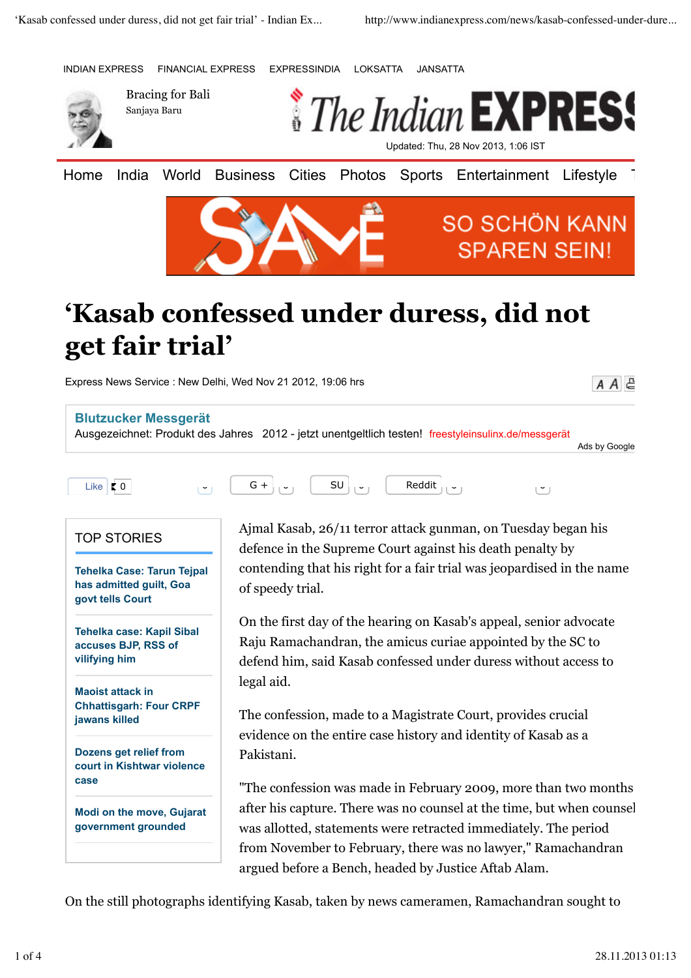INDIAN EXPRESS FINANCIAL EXPRESS EXPRESSINDIA LOKSATTA JANSATTA



Bracing for Bali Sanjaya Baru



Home India World Business Cities Photos Sports Entertainment Lifestyle



## **'Kasab confessed under duress, did not get fair trial'**

Express News Service : New Delhi, Wed Nov 21 2012, 19:06 hrs



## TOP STORIES **Tehelka Case: Tarun Tejpal has admitted guilt, Goa govt tells Court Tehelka case: Kapil Sibal accuses BJP, RSS of vilifying him Maoist attack in Chhattisgarh: Four CRPF jawans killed Dozens get relief from court in Kishtwar violence case Modi on the move, Gujarat government grounded** Ajmal Kasab, 26/11 terror attack gunman, on Tuesday began his defence in the Supreme Court against his death penalty by contending that his right for a fair trial was jeopardised in the name of speedy trial. On the first day of the hearing on Kasab's appeal, senior advocate Raju Ramachandran, the amicus curiae appointed by the SC to defend him, said Kasab confessed under duress without access to legal aid. The confession, made to a Magistrate Court, provides crucial evidence on the entire case history and identity of Kasab as a Pakistani. "The confession was made in February 2009, more than two months after his capture. There was no counsel at the time, but when counsel was allotted, statements were retracted immediately. The period from November to February, there was no lawyer," Ramachandran argued before a Bench, headed by Justice Aftab Alam. **Blutzucker Messgerät** Ausgezeichnet: Produkt des Jahres 2012 - jetzt unentgeltlich testen! freestyleinsulinx.de/messgerät Ads by Google Like 0 0 G + 0 SU 0 Reddit 0 0

On the still photographs identifying Kasab, taken by news cameramen, Ramachandran sought to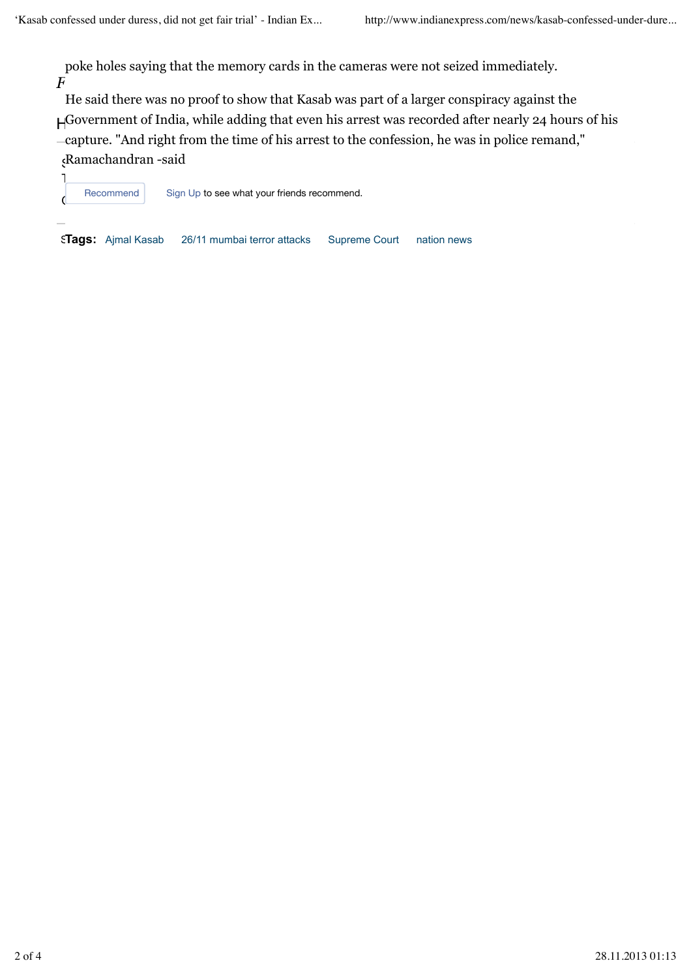*Follow us:* poke holes saying that the memory cards in the cameras were not seized immediately.

<sub>{</sub>Ramachandran -said  $\mathsf{H}^\mathsf{Government}$  of India, while adding that even his arrest was recorded after nearly 24 hours of his He said there was no proof to show that Kasab was part of a larger conspiracy against the capture. "And right from the time of his arrest to the confession, he was in police remand,"



**STags:** Ajmal Kasab 26/11 mumbai terror attacks Supreme Court nation news